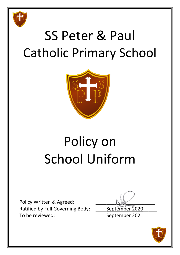

# SS Peter & Paul Catholic Primary School



# Policy on School Uniform

Policy Written & Agreed: Ratified by Full Governing Body: \_\_\_\_\_ September 2020 To be reviewed: To be reviewed:

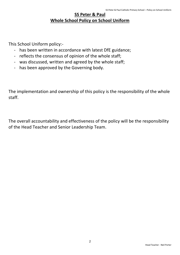# **SS Peter & Paul Whole School Policy on School Uniform**

This School Uniform policy:-

- has been written in accordance with latest DfE guidance;
- reflects the consensus of opinion of the whole staff;
- was discussed, written and agreed by the whole staff;
- has been approved by the Governing body.

The implementation and ownership of this policy is the responsibility of the whole staff.

The overall accountability and effectiveness of the policy will be the responsibility of the Head Teacher and Senior Leadership Team.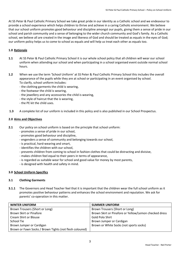At SS Peter & Paul Catholic Primary School we take great pride in our identity as a Catholic school and we endeavour to provide a school experience which helps children to thrive and achieve in a caring Catholic environment. We believe that our school uniform promotes good behaviour and discipline amongst our pupils, giving them a sense of pride in our school and parish community and a sense of belonging to the wider church community and God's family. As a Catholic school, we believe all are created in the image and likeness of God and should be treated as equals in the eyes of God; our uniform policy helps us to come to school as equals and will help us treat each other as equals too.

# **1.0 Rationale**

- **1.1** At SS Peter & Paul Catholic Primary School it is our whole school policy that all children will wear our school uniform when attending our school and when participating in a school organised event outside normal school hours.
- **1.2** When we use the term 'School Uniform' at SS Peter & Paul Catholic Primary School this includes the overall appearance of the pupils while they are at school or participating in an event organised by school. To clarify, school uniform includes:
	- the clothing garments the child is wearing,
	- the footwear the child is wearing,
	- the jewellery and any accessories the child is wearing,
	- the style of haircut that the is wearing,
	- the PE kit the child uses.
- **1.3** A complete list of our uniform is included in this policy and is also published in our School Prospectus.

# **2.0 Aims and Objectives**

- **2.1** Our policy on school uniform is based on the principle that school uniform:
	- promotes a sense of pride in our school,
	- promotes good behaviour and discipline,
	- engenders a sense of community and belonging towards our school,
	- is practical, hard-wearing and smart,
	- identifies the children with our school,
	- prevents children from coming to school in fashion clothes that could be distracting and divisive,
	- makes children feel equal to their peers in terms of appearance,
	- is regarded as suitable wear for school and good value for money by most parents,
	- is designed with health and safety in mind.

# **3.0 School Uniform Specifics**

#### **3.1 Clothing Garments**

**3.1.1** The Governors and Head Teacher feel that it is important that the children wear the full school uniform as it promotes positive behaviour patterns and enhances the school environment and reputation. We ask for parents' co-operation in this matter.

| <b>WINTER UNIFORM</b>                                   | <b>SUMMER UNIFORM</b>                                 |
|---------------------------------------------------------|-------------------------------------------------------|
| Brown Trousers (Short or Long)                          | Brown Trousers (Short or Long)                        |
| Brown Skirt or Pinafore                                 | Brown Skirt or Pinafore or Yellow/Lemon checked dress |
| <b>Cream Shirt or Blouse</b>                            | Gold Polo Shirt                                       |
| School Tie                                              | Brown Jumper or Cardigan                              |
| Brown Jumper or Cardigan                                | Brown or White Socks (not sports socks)               |
| Brown or Fawn Socks / Brown Tights (not flesh coloured) |                                                       |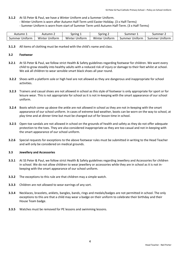- **3.1.2** At SS Peter & Paul, we have a Winter Uniform and a Summer Uniform.
	- Winter Uniform is worn after Autumn Half-Term until Easter Holiday. (3 x Half-Terms)

- Summer Uniform is worn from start of Summer Term until Autumn Half-Term. (3 x Half-Terms)

| Autumn 1 | – Autumn ∠ | Spring 1 | Spring 2 | Summer  | Summer    |
|----------|------------|----------|----------|---------|-----------|
| summer   | Winter     | Winter l | Winter   | Uniform | : Uniform |
| Uniform  | Unitorm    | Unitorm  | Uniform  | summer  | Summer    |

**3.1.3** All items of clothing must be marked with the child's name and class.

#### **3.2 Footwear**

- **3.2.1** At SS Peter & Paul, we follow strict Health & Safety guidelines regarding footwear for children. We want every child to grow steadily into healthy adults with a reduced risk of injury or damage to their feet whilst at school. We ask all children to wear sensible smart black shoes all year round.
- **3.2.2** Shoes with a platform sole or high heel are not allowed as they are dangerous and inappropriate for school activities.
- **3.2.3** Trainers and casual shoes are not allowed in school as this style of footwear is only appropriate for sport or for leisure wear. This is not appropriate for school as it is not in-keeping with the smart appearance of our school uniform.
- **3.2.4** Boots which come up above the ankle are not allowed in school as they are not in-keeping with the smart appearance of our school uniform. In cases of extreme bad weather, boots can be worn on the way to school, at play time and at dinner time but must be changed out of for lesson time in school.
- **3.2.5** Open-toe sandals are not allowed in school on the grounds of health and safety as they do not offer adequate protection to the toes. They are also considered inappropriate as they are too casual and not in-keeping with the smart appearance of our school uniform.
- **3.2.6** Special requests for exceptions to the above footwear rules must be submitted in writing to the Head Teacher and will only be considered on medical grounds.

#### **3.3 Jewellery and Accessories**

- **3.3.1** At SS Peter & Paul, we follow strict Health & Safety guidelines regarding Jewellery and Accessories for children in school. We do not allow children to wear jewellery or accessories while they are in school as it is not inkeeping with the smart appearance of our school uniform.
- **3.3.2** The exceptions to this rule are that children may a simple watch.
- **3.3.3** Children are not allowed to wear earrings of any sort.
- **3.3.4** Necklaces, bracelets, anklets, bangles, bands, rings and medals/badges are not permitted in school. The only exceptions to this are that a child may wear a badge on their uniform to celebrate their birthday and their House Team badge.
- **3.3.5** Watches must be removed for PE lessons and swimming lessons.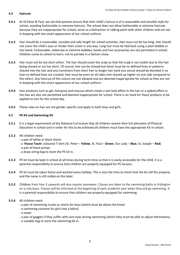# **3.4 Haircuts**

- **3.4.1** At SS Peter & Paul, we ask that parents ensure that their child's haircut is of a reasonable and sensible style for school, avoiding fashionable or extreme haircuts. The school does not allow fashionable or extreme haircuts because they are inappropriate for school, serve as a distraction or talking point with other children and are not in-keeping with the smart appearance of our school uniform.
- **3.4.2** Hair should be a reasonable, sensible and safe length for school activities. Hair must not be too long. Hair should not cover the child's eyes or hinder their vision in any way. Long hair must be tied back using a plain bobble or hair band. Fashionable, elaborate or extreme bobbles, bands and hair accessories are not permitted in school. Children come to school to learn, not to partake in a fashion show.
- **3.4.3** Hair must not be too short either. The hair should cover the scalp so that the scalp is not visible due to the hair being shaved or cut too short. Of course, hair can be shaved but there must be no defined lines or patterns shaved into the hair and any transitions from short hair to longer hair (and vice versa) should be blended in so that no defined lines are created. Hair must be even on all sides (not shaved up higher on one side compared to the other). Any haircuts of this nature are not allowed and are deemed inappropriate for school as they are not in-keeping with the smart appearance of our school uniform.
- **3.4.4** Hair products such as gel, hairspray and mousse which create a wet look effect in the hair or a spiked effect in the hair are also not permitted and deemed inappropriate for school. There is no need for these products to be applied to hair for the school day.
- **3.4.5** These rules on hair are not gender specific and apply to both boys and girls.

# **3.5 PE Kit and Swimming Kit**

**3.5.1** It is a legal requirement of the National Curriculum that all children receive their full allocation of Physical Education in school and in order for this to be achieved all children must have the appropriate kit in school.

#### **3.5.2** All children need:

- a pair of white or black shorts
- a '**House Team**' coloured T-shirt (St. Peter **Yellow**, St. Paul **Green**, Our Lady **Blue**, St. Joseph **Red**)
- a pair of black pumps
- a draw-string bag to store the PE kit in.
- **3.5.3** PE kit must be kept in school at all times during term-time so that it is easily accessible for the child. It is a parental responsibility to ensure that children are properly equipped for PE lessons.
- **3.5.4** PE kit must be taken home and washed every holiday. This is also the time to check that the kit still fits properly and the name is still visible on the label.
- **3.5.5** Children from Year 3 upwards will also require swimwear. Classes are taken to the swimming baths in Erdington on a rota basis. Classes will be informed at the beginning of each academic year when they will go swimming. It is a parental responsibility to ensure that children are properly equipped for swimming.

#### **3.5.6** All children need:

- a pair of swimming trunks or shorts for boys (which must be above the knee)
- a swimming costume for girls (not a bikini)
- a towel
- a pair of goggles if they suffer with sore eyes during swimming (which they must be able to adjust themselves)
- a suitable bag to store the swimming kit in.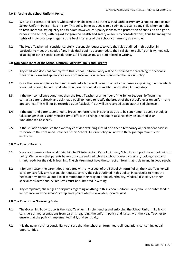#### **4.0 Enforcing the School Uniform Policy**

- **4.1** We ask all parents and carers who send their children to SS Peter & Paul Catholic Primary School to support our School Uniform Policy in its entirety. This policy in no way seeks to discriminate against any child's human right to have individuality, equality and freedom however, this policy looks to the promotion of cohesion and good order in the school, with regard for genuine health and safety or security considerations, thus balancing the rights of individual pupils against the best interests of the school community as a whole.
- **4.2** The Head Teacher will consider carefully reasonable requests to vary the rules outlined in this policy, in particular to meet the needs of any individual pupil to accommodate their religion or belief, ethnicity, medical, disability or other special considerations. All requests must be submitted in writing.

# **5.0 Non-compliance of the School Uniform Policy by Pupils and Parents**

- **5.1** Any child who does not comply with this School Uniform Policy will be disciplined for breaching the school's rules on uniform and appearance in accordance with our school's published behaviour policy.
- **5.2** Once the non-compliance has been identified a letter will be sent home to the parents explaining the rule which is not being complied with and what the parent should do to rectify the situation, immediately.
- **5.3** If the non-compliance continues then the Head Teacher or a member of the Senior Leadership Team may contact a parent directly and ask that a pupil go home to rectify the breach of the school's rules on uniform and appearance. This will not be recorded as an 'exclusion' but will be recorded as an 'authorised absence'.
- **5.4** If the pupil and parents continue to breach uniform rules in such a way as to be sent home to avoid school, or takes longer than is strictly necessary to effect the change, the pupil's absence may be counted as an 'unauthorised absence'.
- **5.5** If the situation continues then we may consider excluding a child on either a temporary or permanent basis in response to the continued breaches of this School Uniform Policy in line with the legal requirements for exclusion.

#### **6.0 The Role of Parents**

- **6.1** We ask all parents who send their child to SS Peter & Paul Catholic Primary School to support the school uniform policy. We believe that parents have a duty to send their child to school correctly dressed, looking clean and smart, ready for their daily learning. The children must have the correct uniform that is clean and in good repair.
- **6.2** If for any reason the parent does not agree with any aspect of the School Uniform Policy, the Head Teacher will consider carefully any reasonable requests to vary the rules outlined in this policy, in particular to meet the needs of any individual pupil to accommodate their religion or belief, ethnicity, medical, disability or other special considerations. All requests must be submitted in writing.
- **6.3** Any complaints, challenges or disputes regarding anything in this School Uniform Policy should be submitted in accordance with the school's complaints policy which is available upon request.

#### **7.0 The Role of the Governing Body**

- **7.1** The Governing Body supports the Head Teacher in implementing and enforcing the School Uniform Policy. It considers all representations from parents regarding the uniform policy and liaises with the Head Teacher to ensure that the policy is implemented fairly and sensitivity.
- **7.2** It is the governors' responsibility to ensure that the school uniform meets all regulations concerning equal opportunities.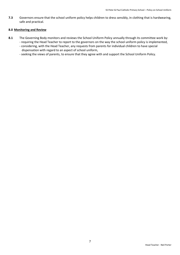**7.3** Governors ensure that the school uniform policy helps children to dress sensibly, in clothing that is hardwearing, safe and practical.

#### **8.0 Monitoring and Review**

- **8.1** The Governing Body monitors and reviews the School Uniform Policy annually through its committee work by: - requiring the Head Teacher to report to the governors on the way the school uniform policy is implemented,
	- considering, with the Head Teacher, any requests from parents for individual children to have special dispensation with regard to an aspect of school uniform,
	- seeking the views of parents, to ensure that they agree with and support the School Uniform Policy.